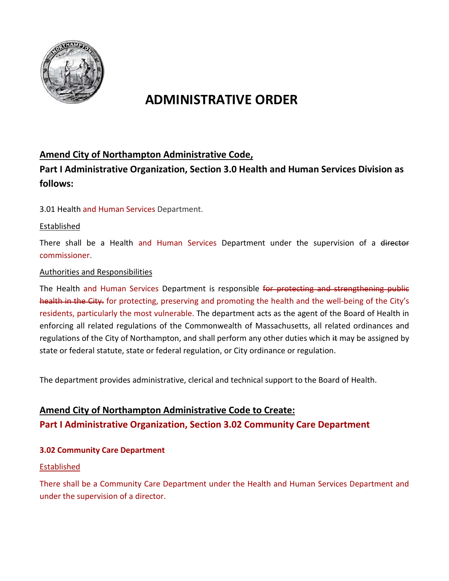

# **ADMINISTRATIVE ORDER**

### **Amend City of Northampton Administrative Code,**

**Part I Administrative Organization, Section 3.0 Health and Human Services Division as follows:**

3.01 Health and Human Services Department.

#### Established

There shall be a Health and Human Services Department under the supervision of a director commissioner.

#### Authorities and Responsibilities

The Health and Human Services Department is responsible for protecting and strengthening public health in the City. for protecting, preserving and promoting the health and the well-being of the City's residents, particularly the most vulnerable. The department acts as the agent of the Board of Health in enforcing all related regulations of the Commonwealth of Massachusetts, all related ordinances and regulations of the City of Northampton, and shall perform any other duties which it may be assigned by state or federal statute, state or federal regulation, or City ordinance or regulation.

The department provides administrative, clerical and technical support to the Board of Health.

### **Amend City of Northampton Administrative Code to Create: Part I Administrative Organization, Section 3.02 Community Care Department**

#### **3.02 Community Care Department**

#### Established

There shall be a Community Care Department under the Health and Human Services Department and under the supervision of a director.